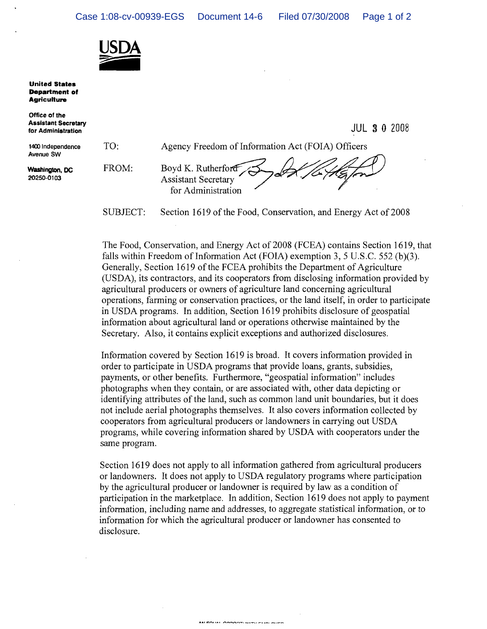

**United States Department of Agriculture** 

Office of the Assistant Secretary for Administration

1400 Independence Avenue SW

Washington, DC 20250-0103



JUL 3 0 Z008

SUBJECT: Section 1619 of the Food, Conservation, and Energy Act of 2008

The Food, Conservation, and Energy Act of 2008 (FCEA) contains Section 1619, that falls within Freedom of Information Act (FOIA) exemption 3, 5 U.S.C. 552 (b)(3). Generally, Section 1619 of the FCEA prohibits the Department of Agriculture (USDA), its contractors, and its cooperators from disclosing information provided by agricultural producers or owners of agriculture land concerning agricultural operations, farming or conservation practices, or the land itself, in order to participate in USDA programs. In addition, Section 1619 prohibits disclosure of geospatial information about agricultural land or operations otherwise maintained by the Secretary. Also, it contains explicit exceptions and authorized disclosures.

Information covered by Section 1619 is broad. It covers information provided in order to participate in USDA programs that provide loans, grants, subsidies, payments, or other benefits. Furthermore, "geospatial information" includes photographs when they contain, or are associated with, other data depicting or identifying attributes of the land, such as common land unit boundaries, but it does not include aerial photographs themselves. It also covers information collected by cooperators from agricultural producers or landowners in carrying out USDA programs, while covering information shared by USDA with cooperators under the same program.

Section 1619 does not apply to all information gathered from agricultural producers or landowners. It does not apply to USDA regulatory programs where participation by the agricultural producer or landowner is required by law as a condition of participation in the marketplace. In addition, Section 1619 does not apply to payment information, including name and addresses, to aggregate statistical information, or to information for which the agricultural producer or landowner has consented to disclosure.

AN COUNT ORDORELIGES FURNISHED